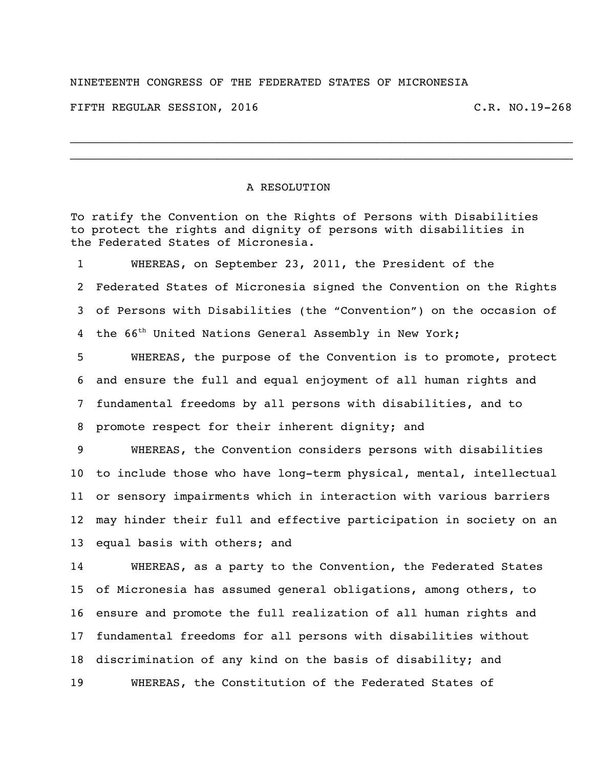## NINETEENTH CONGRESS OF THE FEDERATED STATES OF MICRONESIA

FIFTH REGULAR SESSION, 2016 C.R. NO.19-268

## A RESOLUTION

To ratify the Convention on the Rights of Persons with Disabilities to protect the rights and dignity of persons with disabilities in the Federated States of Micronesia.

 $\_$  $\_$ 

 WHEREAS, on September 23, 2011, the President of the Federated States of Micronesia signed the Convention on the Rights of Persons with Disabilities (the "Convention") on the occasion of 4 the 66<sup>th</sup> United Nations General Assembly in New York;

 WHEREAS, the purpose of the Convention is to promote, protect and ensure the full and equal enjoyment of all human rights and fundamental freedoms by all persons with disabilities, and to promote respect for their inherent dignity; and

 WHEREAS, the Convention considers persons with disabilities to include those who have long-term physical, mental, intellectual or sensory impairments which in interaction with various barriers may hinder their full and effective participation in society on an equal basis with others; and

 WHEREAS, as a party to the Convention, the Federated States of Micronesia has assumed general obligations, among others, to ensure and promote the full realization of all human rights and fundamental freedoms for all persons with disabilities without discrimination of any kind on the basis of disability; and WHEREAS, the Constitution of the Federated States of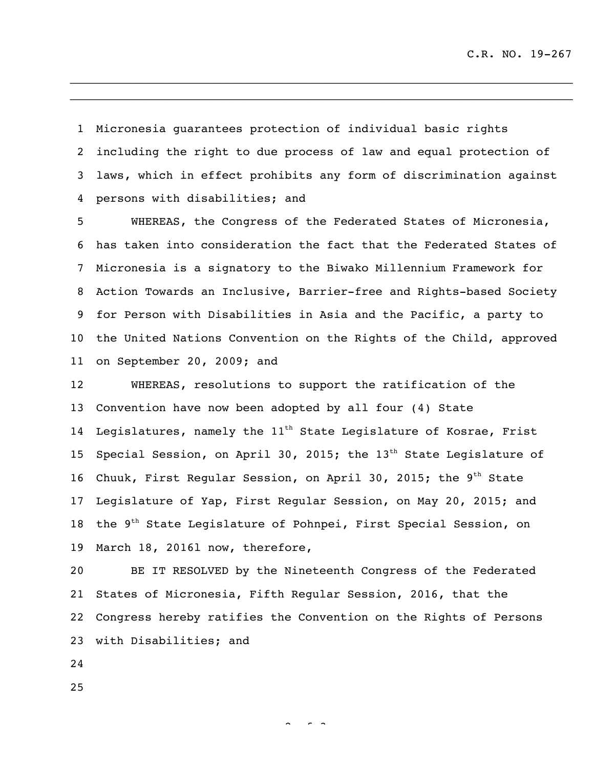Micronesia guarantees protection of individual basic rights including the right to due process of law and equal protection of laws, which in effect prohibits any form of discrimination against persons with disabilities; and

 $\_$  $\_$ 

 WHEREAS, the Congress of the Federated States of Micronesia, has taken into consideration the fact that the Federated States of Micronesia is a signatory to the Biwako Millennium Framework for Action Towards an Inclusive, Barrier-free and Rights-based Society for Person with Disabilities in Asia and the Pacific, a party to the United Nations Convention on the Rights of the Child, approved on September 20, 2009; and

 WHEREAS, resolutions to support the ratification of the Convention have now been adopted by all four (4) State 14 Legislatures, namely the  $11^{th}$  State Legislature of Kosrae, Frist 15 Special Session, on April 30, 2015; the  $13<sup>th</sup>$  State Legislature of 16 Chuuk, First Regular Session, on April 30, 2015; the  $9<sup>th</sup>$  State Legislature of Yap, First Regular Session, on May 20, 2015; and 18 the  $9<sup>th</sup>$  State Legislature of Pohnpei, First Special Session, on March 18, 2016l now, therefore,

 BE IT RESOLVED by the Nineteenth Congress of the Federated States of Micronesia, Fifth Regular Session, 2016, that the Congress hereby ratifies the Convention on the Rights of Persons with Disabilities; and

 $\sim$   $\sim$  3